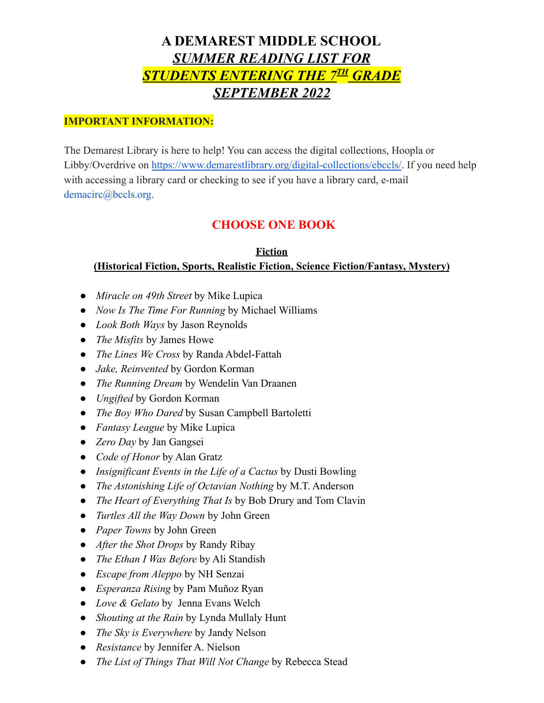# **A DEMAREST MIDDLE SCHOOL** *SUMMER READING LIST FOR STUDENTS ENTERING THE 7 TH GRADE SEPTEMBER 2022*

### **IMPORTANT INFORMATION:**

The Demarest Library is here to help! You can access the digital collections, Hoopla or Libby/Overdrive on <https://www.demarestlibrary.org/digital-collections/ebccls/>. If you need help with accessing a library card or checking to see if you have a library card, e-mail demacirc@bccls.org.

## **CHOOSE ONE BOOK**

#### **Fiction (Historical Fiction, Sports, Realistic Fiction, Science Fiction/Fantasy, Mystery)**

- *Miracle on 49th Street* by Mike Lupica
- *Now Is The Time For Running* by Michael Williams
- *● Look Both Ways* by Jason Reynolds
- *The Misfits* by James Howe
- *The Lines We Cross* by Randa Abdel-Fattah
- *Jake, Reinvented* by Gordon Korman
- *● The Running Dream* by Wendelin Van Draanen
- *Ungifted* by Gordon Korman
- *● The Boy Who Dared* by Susan Campbell Bartoletti
- *● Fantasy League* by Mike Lupica
- *● Zero Day* by Jan Gangsei
- *● Code of Honor* by Alan Gratz
- *● Insignificant Events in the Life of a Cactus* by Dusti Bowling
- *● The Astonishing Life of Octavian Nothing* by M.T. Anderson
- *● The Heart of Everything That Is* by Bob Drury and Tom Clavin
- *● Turtles All the Way Down* by John Green
- *● Paper Towns* by John Green
- *● After the Shot Drops* by Randy Ribay
- *● The Ethan I Was Before* by Ali Standish
- *● Escape from Aleppo* by NH Senzai
- *● Esperanza Rising* by Pam Muñoz Ryan
- *● Love & Gelato* by Jenna Evans Welch
- *Shouting at the Rain* by Lynda Mullaly Hunt
- *● The Sky is Everywhere* by Jandy Nelson
- *● Resistance* by Jennifer A. Nielson
- *● The List of Things That Will Not Change* by Rebecca Stead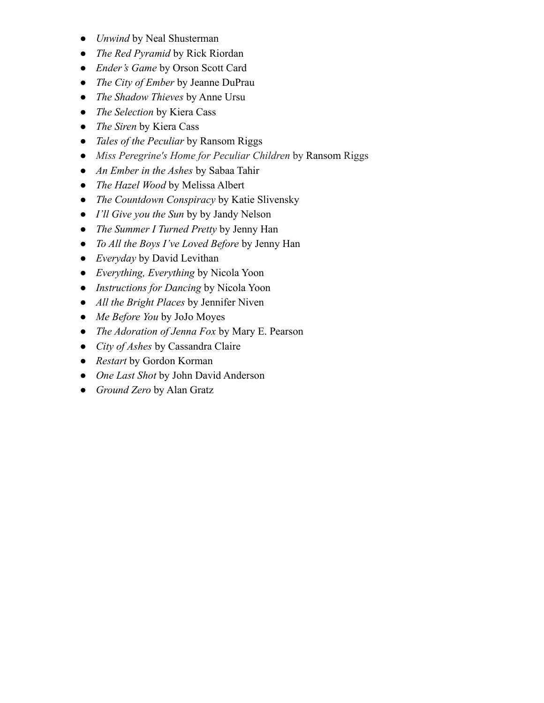- *Unwind* by Neal Shusterman
- *The Red Pyramid* by Rick Riordan
- *Ender's Game* by Orson Scott Card
- *The City of Ember* by Jeanne DuPrau
- *The Shadow Thieves* by Anne Ursu
- *The Selection* by Kiera Cass
- *● The Siren* by Kiera Cass
- *● Tales of the Peculiar* by Ransom Riggs
- *Miss Peregrine's Home for Peculiar Children* by Ransom Riggs
- *● An Ember in the Ashes* by Sabaa Tahir
- *● The Hazel Wood* by Melissa Albert
- *● The Countdown Conspiracy* by Katie Slivensky
- *● I'll Give you the Sun* by by Jandy Nelson
- *● The Summer I Turned Pretty* by Jenny Han
- *● To All the Boys I've Loved Before* by Jenny Han
- *Everyday* by David Levithan
- *● Everything, Everything* by Nicola Yoon
- *● Instructions for Dancing* by Nicola Yoon
- *● All the Bright Places* by Jennifer Niven
- *● Me Before You* by JoJo Moyes
- *● The Adoration of Jenna Fox* by Mary E. Pearson
- *● City of Ashes* by Cassandra Claire
- *● Restart* by Gordon Korman
- *● One Last Shot* by John David Anderson
- *● Ground Zero* by Alan Gratz